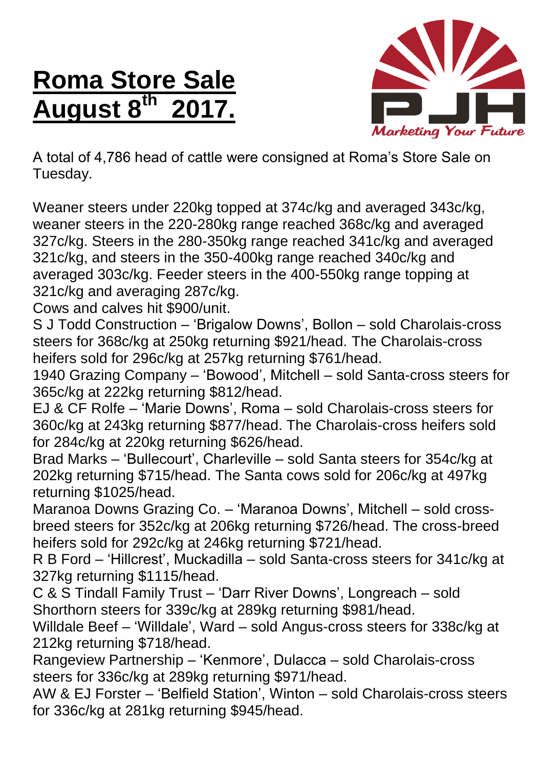## **Roma Store Sale August 8 th 2017.**



A total of 4,786 head of cattle were consigned at Roma's Store Sale on Tuesday.

Weaner steers under 220kg topped at 374c/kg and averaged 343c/kg, weaner steers in the 220-280kg range reached 368c/kg and averaged 327c/kg. Steers in the 280-350kg range reached 341c/kg and averaged 321c/kg, and steers in the 350-400kg range reached 340c/kg and averaged 303c/kg. Feeder steers in the 400-550kg range topping at 321c/kg and averaging 287c/kg.

Cows and calves hit \$900/unit.

S J Todd Construction – 'Brigalow Downs', Bollon – sold Charolais-cross steers for 368c/kg at 250kg returning \$921/head. The Charolais-cross heifers sold for 296c/kg at 257kg returning \$761/head.

1940 Grazing Company – 'Bowood', Mitchell – sold Santa-cross steers for 365c/kg at 222kg returning \$812/head.

EJ & CF Rolfe – 'Marie Downs', Roma – sold Charolais-cross steers for 360c/kg at 243kg returning \$877/head. The Charolais-cross heifers sold for 284c/kg at 220kg returning \$626/head.

Brad Marks – 'Bullecourt', Charleville – sold Santa steers for 354c/kg at 202kg returning \$715/head. The Santa cows sold for 206c/kg at 497kg returning \$1025/head.

Maranoa Downs Grazing Co. – 'Maranoa Downs', Mitchell – sold crossbreed steers for 352c/kg at 206kg returning \$726/head. The cross-breed heifers sold for 292c/kg at 246kg returning \$721/head.

R B Ford – 'Hillcrest', Muckadilla – sold Santa-cross steers for 341c/kg at 327kg returning \$1115/head.

C & S Tindall Family Trust – 'Darr River Downs', Longreach – sold Shorthorn steers for 339c/kg at 289kg returning \$981/head.

Willdale Beef – 'Willdale', Ward – sold Angus-cross steers for 338c/kg at 212kg returning \$718/head.

Rangeview Partnership – 'Kenmore', Dulacca – sold Charolais-cross steers for 336c/kg at 289kg returning \$971/head.

AW & EJ Forster – 'Belfield Station', Winton – sold Charolais-cross steers for 336c/kg at 281kg returning \$945/head.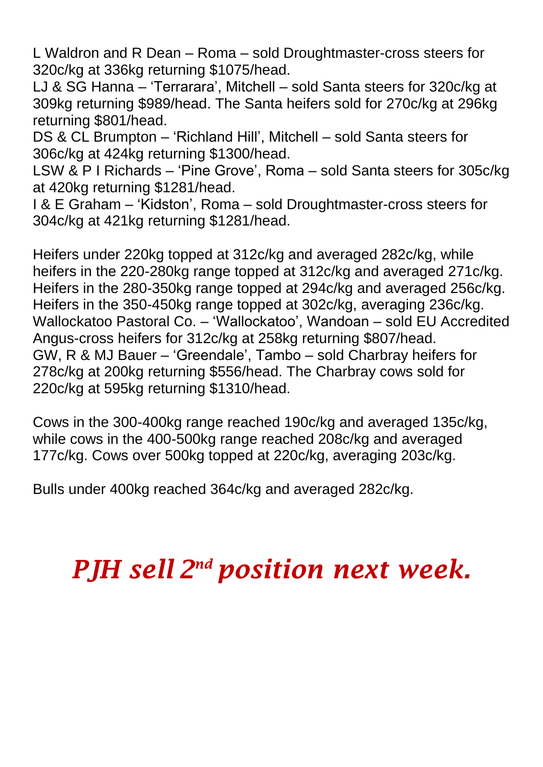L Waldron and R Dean – Roma – sold Droughtmaster-cross steers for 320c/kg at 336kg returning \$1075/head.

LJ & SG Hanna – 'Terrarara', Mitchell – sold Santa steers for 320c/kg at 309kg returning \$989/head. The Santa heifers sold for 270c/kg at 296kg returning \$801/head.

DS & CL Brumpton – 'Richland Hill', Mitchell – sold Santa steers for 306c/kg at 424kg returning \$1300/head.

LSW & P I Richards – 'Pine Grove', Roma – sold Santa steers for 305c/kg at 420kg returning \$1281/head.

I & E Graham – 'Kidston', Roma – sold Droughtmaster-cross steers for 304c/kg at 421kg returning \$1281/head.

Heifers under 220kg topped at 312c/kg and averaged 282c/kg, while heifers in the 220-280kg range topped at 312c/kg and averaged 271c/kg. Heifers in the 280-350kg range topped at 294c/kg and averaged 256c/kg. Heifers in the 350-450kg range topped at 302c/kg, averaging 236c/kg. Wallockatoo Pastoral Co. – 'Wallockatoo', Wandoan – sold EU Accredited Angus-cross heifers for 312c/kg at 258kg returning \$807/head. GW, R & MJ Bauer – 'Greendale', Tambo – sold Charbray heifers for 278c/kg at 200kg returning \$556/head. The Charbray cows sold for 220c/kg at 595kg returning \$1310/head.

Cows in the 300-400kg range reached 190c/kg and averaged 135c/kg, while cows in the 400-500kg range reached 208c/kg and averaged 177c/kg. Cows over 500kg topped at 220c/kg, averaging 203c/kg.

Bulls under 400kg reached 364c/kg and averaged 282c/kg.

## *PJH sell 2 nd position next week.*